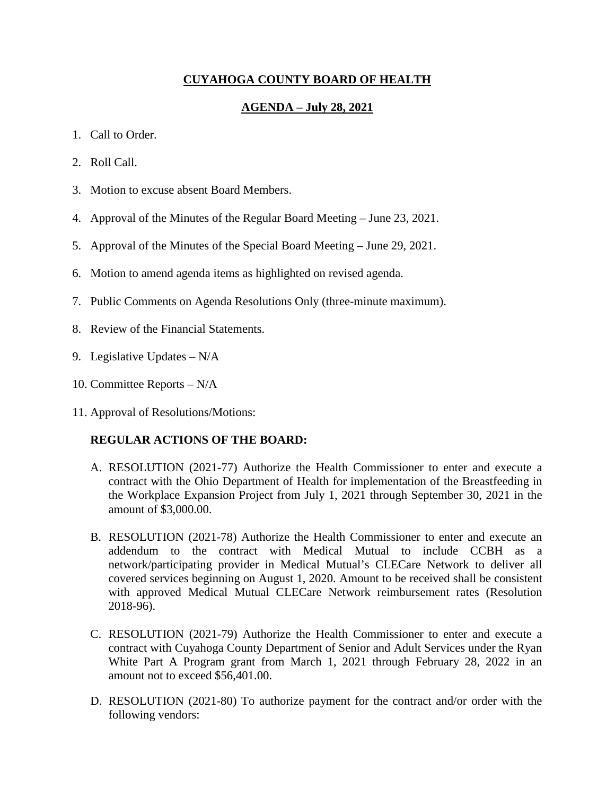# **CUYAHOGA COUNTY BOARD OF HEALTH**

## **AGENDA – July 28, 2021**

- 1. Call to Order.
- 2. Roll Call.
- 3. Motion to excuse absent Board Members.
- 4. Approval of the Minutes of the Regular Board Meeting June 23, 2021.
- 5. Approval of the Minutes of the Special Board Meeting June 29, 2021.
- 6. Motion to amend agenda items as highlighted on revised agenda.
- 7. Public Comments on Agenda Resolutions Only (three-minute maximum).
- 8. Review of the Financial Statements.
- 9. Legislative Updates N/A
- 10. Committee Reports N/A
- 11. Approval of Resolutions/Motions:

### **REGULAR ACTIONS OF THE BOARD:**

- A. RESOLUTION (2021-77) Authorize the Health Commissioner to enter and execute a contract with the Ohio Department of Health for implementation of the Breastfeeding in the Workplace Expansion Project from July 1, 2021 through September 30, 2021 in the amount of \$3,000.00.
- B. RESOLUTION (2021-78) Authorize the Health Commissioner to enter and execute an addendum to the contract with Medical Mutual to include CCBH as a network/participating provider in Medical Mutual's CLECare Network to deliver all covered services beginning on August 1, 2020. Amount to be received shall be consistent with approved Medical Mutual CLECare Network reimbursement rates (Resolution 2018-96).
- C. RESOLUTION (2021-79) Authorize the Health Commissioner to enter and execute a contract with Cuyahoga County Department of Senior and Adult Services under the Ryan White Part A Program grant from March 1, 2021 through February 28, 2022 in an amount not to exceed \$56,401.00.
- D. RESOLUTION (2021-80) To authorize payment for the contract and/or order with the following vendors: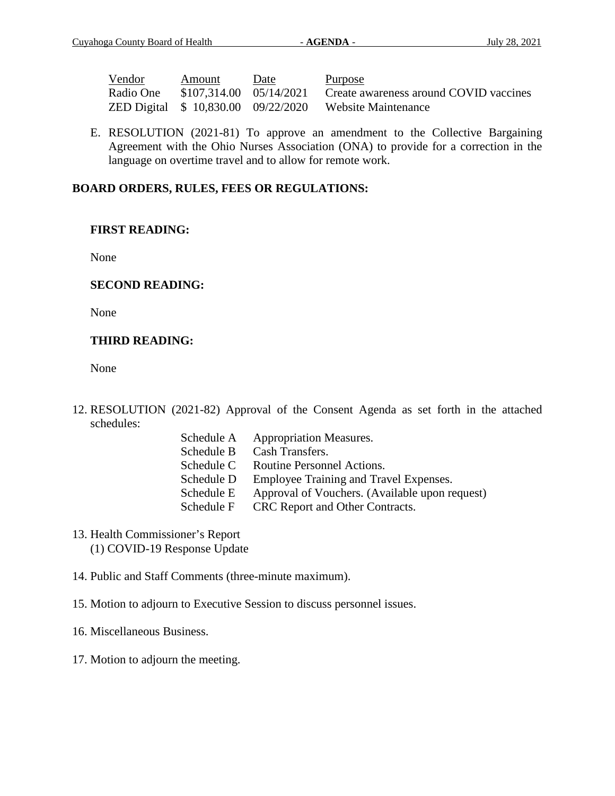| Vendor    | Amount | Date | <u>Purpose</u>                                                    |
|-----------|--------|------|-------------------------------------------------------------------|
| Radio One |        |      | $$107,314.00$ $05/14/2021$ Create awareness around COVID vaccines |
|           |        |      | ZED Digital \$10,830.00 09/22/2020 Website Maintenance            |

E. RESOLUTION (2021-81) To approve an amendment to the Collective Bargaining Agreement with the Ohio Nurses Association (ONA) to provide for a correction in the language on overtime travel and to allow for remote work.

### **BOARD ORDERS, RULES, FEES OR REGULATIONS:**

### **FIRST READING:**

None

### **SECOND READING:**

None

# **THIRD READING:**

None

- 12. RESOLUTION (2021-82) Approval of the Consent Agenda as set forth in the attached schedules:
	- Schedule A Appropriation Measures. Schedule B Cash Transfers. Schedule C Routine Personnel Actions. Schedule D Employee Training and Travel Expenses. Schedule E Approval of Vouchers. (Available upon request) Schedule F CRC Report and Other Contracts.
- 13. Health Commissioner's Report (1) COVID-19 Response Update

14. Public and Staff Comments (three-minute maximum).

- 15. Motion to adjourn to Executive Session to discuss personnel issues.
- 16. Miscellaneous Business.
- 17. Motion to adjourn the meeting.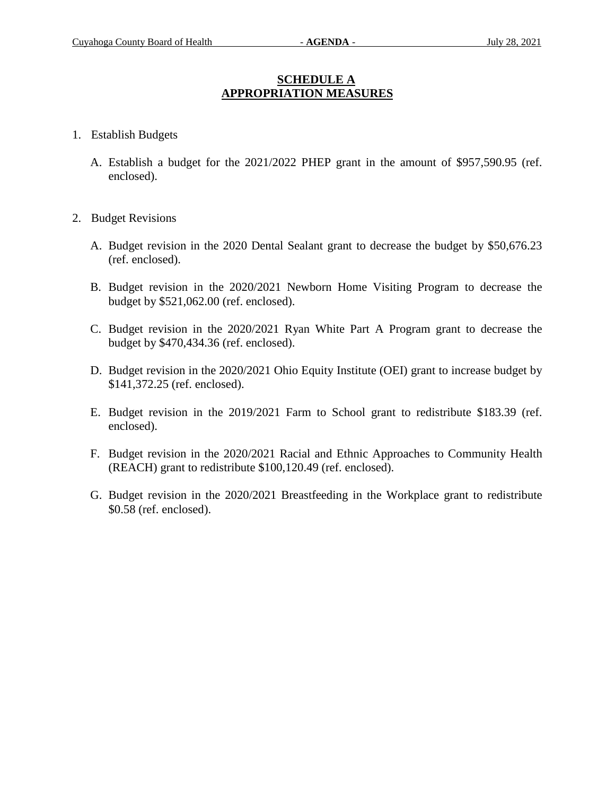# **SCHEDULE A APPROPRIATION MEASURES**

- 1. Establish Budgets
	- A. Establish a budget for the 2021/2022 PHEP grant in the amount of \$957,590.95 (ref. enclosed).
- 2. Budget Revisions
	- A. Budget revision in the 2020 Dental Sealant grant to decrease the budget by \$50,676.23 (ref. enclosed).
	- B. Budget revision in the 2020/2021 Newborn Home Visiting Program to decrease the budget by \$521,062.00 (ref. enclosed).
	- C. Budget revision in the 2020/2021 Ryan White Part A Program grant to decrease the budget by \$470,434.36 (ref. enclosed).
	- D. Budget revision in the 2020/2021 Ohio Equity Institute (OEI) grant to increase budget by \$141,372.25 (ref. enclosed).
	- E. Budget revision in the 2019/2021 Farm to School grant to redistribute \$183.39 (ref. enclosed).
	- F. Budget revision in the 2020/2021 Racial and Ethnic Approaches to Community Health (REACH) grant to redistribute \$100,120.49 (ref. enclosed).
	- G. Budget revision in the 2020/2021 Breastfeeding in the Workplace grant to redistribute \$0.58 (ref. enclosed).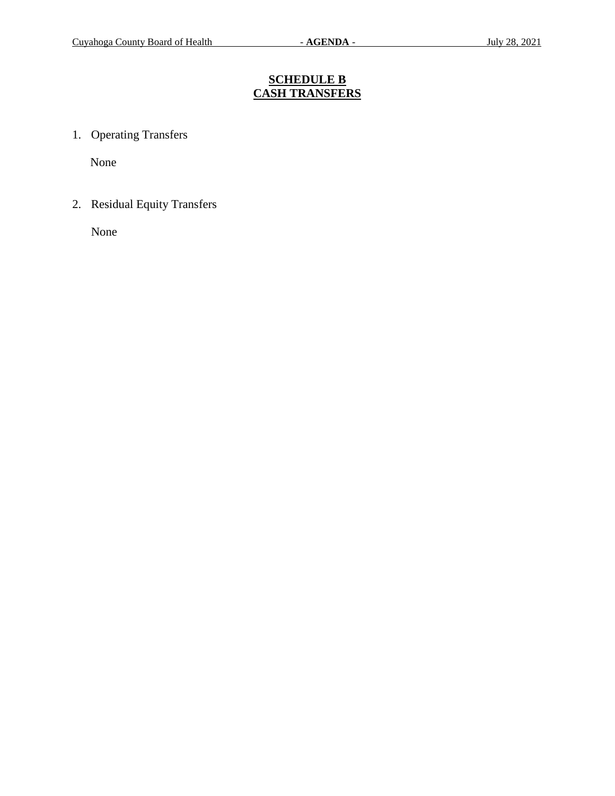# **SCHEDULE B CASH TRANSFERS**

1. Operating Transfers

None

2. Residual Equity Transfers

None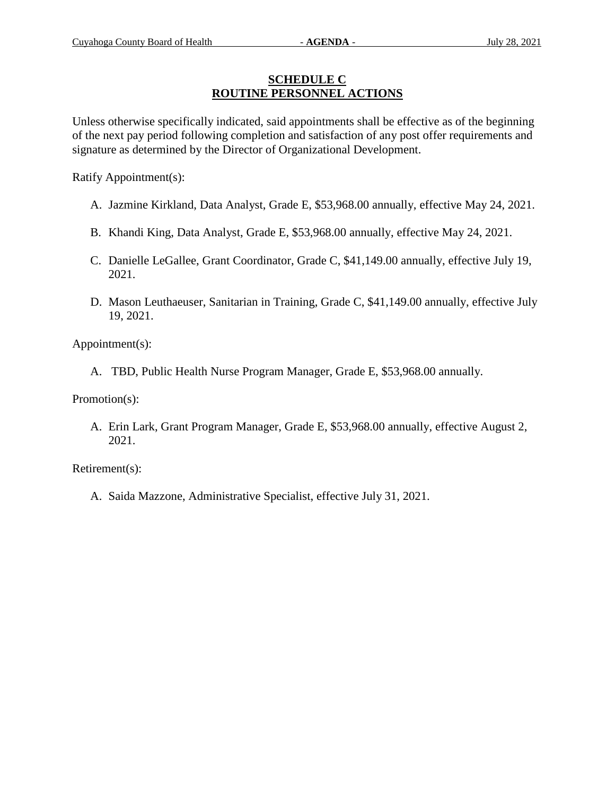### **SCHEDULE C ROUTINE PERSONNEL ACTIONS**

Unless otherwise specifically indicated, said appointments shall be effective as of the beginning of the next pay period following completion and satisfaction of any post offer requirements and signature as determined by the Director of Organizational Development.

Ratify Appointment(s):

- A. Jazmine Kirkland, Data Analyst, Grade E, \$53,968.00 annually, effective May 24, 2021.
- B. Khandi King, Data Analyst, Grade E, \$53,968.00 annually, effective May 24, 2021.
- C. Danielle LeGallee, Grant Coordinator, Grade C, \$41,149.00 annually, effective July 19, 2021.
- D. Mason Leuthaeuser, Sanitarian in Training, Grade C, \$41,149.00 annually, effective July 19, 2021.

Appointment(s):

A. TBD, Public Health Nurse Program Manager, Grade E, \$53,968.00 annually.

Promotion(s):

A. Erin Lark, Grant Program Manager, Grade E, \$53,968.00 annually, effective August 2, 2021.

Retirement(s):

A. Saida Mazzone, Administrative Specialist, effective July 31, 2021.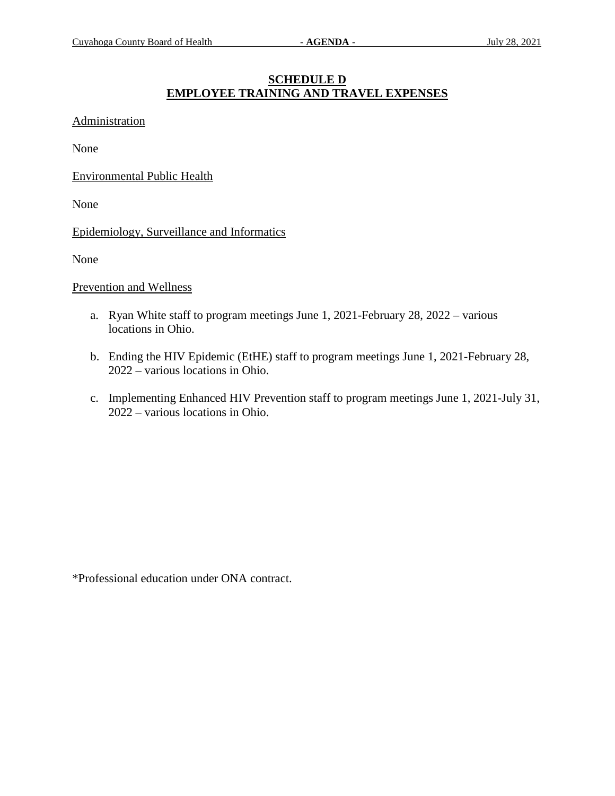## **SCHEDULE D EMPLOYEE TRAINING AND TRAVEL EXPENSES**

### Administration

None

Environmental Public Health

None

Epidemiology, Surveillance and Informatics

None

### Prevention and Wellness

- a. Ryan White staff to program meetings June 1, 2021-February 28, 2022 various locations in Ohio.
- b. Ending the HIV Epidemic (EtHE) staff to program meetings June 1, 2021-February 28, 2022 – various locations in Ohio.
- c. Implementing Enhanced HIV Prevention staff to program meetings June 1, 2021-July 31, 2022 – various locations in Ohio.

\*Professional education under ONA contract.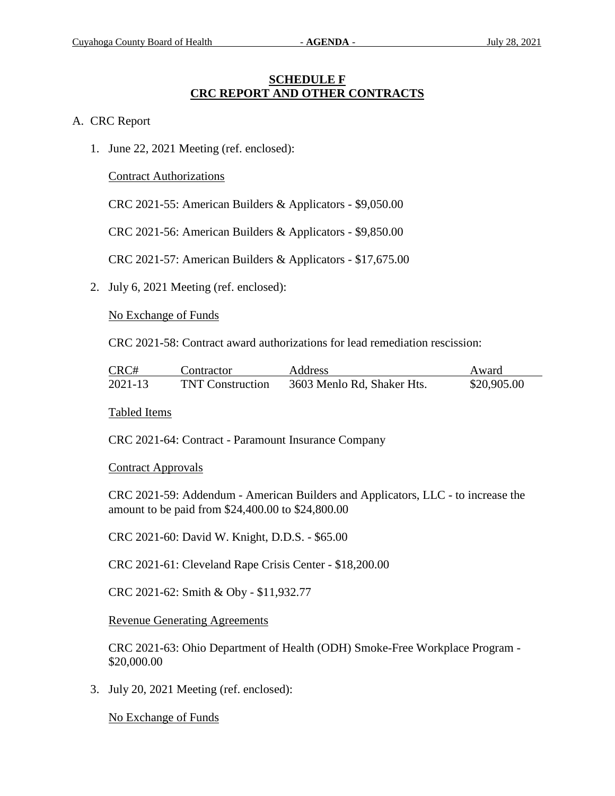### **SCHEDULE F CRC REPORT AND OTHER CONTRACTS**

### A. CRC Report

1. June 22, 2021 Meeting (ref. enclosed):

Contract Authorizations

CRC 2021-55: American Builders & Applicators - \$9,050.00

CRC 2021-56: American Builders & Applicators - \$9,850.00

CRC 2021-57: American Builders & Applicators - \$17,675.00

2. July 6, 2021 Meeting (ref. enclosed):

No Exchange of Funds

CRC 2021-58: Contract award authorizations for lead remediation rescission:

| CRC#    | Contractor              | Address                    | Award       |
|---------|-------------------------|----------------------------|-------------|
| 2021-13 | <b>TNT Construction</b> | 3603 Menlo Rd, Shaker Hts. | \$20,905.00 |

Tabled Items

CRC 2021-64: Contract - Paramount Insurance Company

Contract Approvals

CRC 2021-59: Addendum - American Builders and Applicators, LLC - to increase the amount to be paid from \$24,400.00 to \$24,800.00

CRC 2021-60: David W. Knight, D.D.S. - \$65.00

CRC 2021-61: Cleveland Rape Crisis Center - \$18,200.00

CRC 2021-62: Smith & Oby - \$11,932.77

Revenue Generating Agreements

CRC 2021-63: Ohio Department of Health (ODH) Smoke-Free Workplace Program - \$20,000.00

3. July 20, 2021 Meeting (ref. enclosed):

No Exchange of Funds